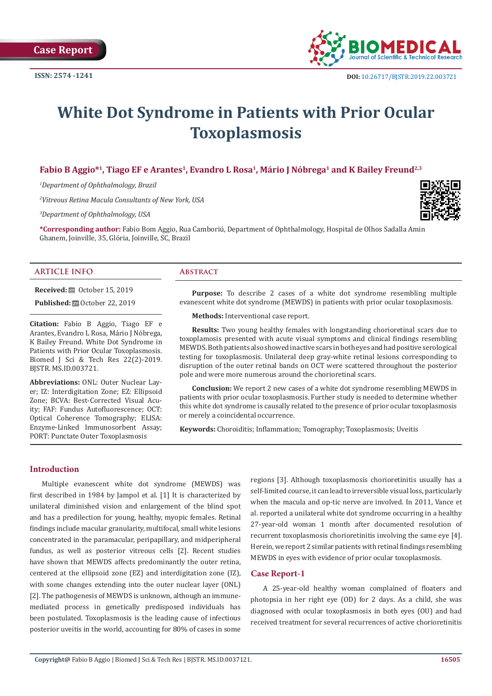

# **White Dot Syndrome in Patients with Prior Ocular Toxoplasmosis**

# Fabio B Aggio<sup>\*1</sup>, Tiago EF e Arantes<sup>1</sup>, Evandro L Rosa<sup>1</sup>, Mário J Nóbrega<sup>1</sup> and K Bailey Freund<sup>2,3</sup>

*1 Department of Ophthalmology, Brazil* 

*2 Vitreous Retina Macula Consultants of New York, USA* 

*3 Department of Ophthalmology, USA*



**\*Corresponding author:** Fabio Bom Aggio, Rua Camboriú, Department of Ophthalmology, Hospital de Olhos Sadalla Amin Ghanem, Joinville, 35, Glória, Joinville, SC, Brazil

### **ARTICLE INFO Abstract**

**Received:** ■ October 15, 2019

**Published:** ■ October 22, 2019

**Citation:** Fabio B Aggio, Tiago EF e Arantes, Evandro L Rosa, Mário J Nóbrega, K Bailey Freund. White Dot Syndrome in Patients with Prior Ocular Toxoplasmosis. Biomed J Sci & Tech Res 22(2)-2019. BJSTR. MS.ID.003721.

**Abbreviations:** ONL: Outer Nuclear Layer; IZ: Interdigitation Zone; EZ: Ellipsoid Zone; BCVA: Best-Corrected Visual Acuity; FAF: Fundus Autofluorescence; OCT: Optical Coherence Tomography; ELISA: Enzyme-Linked Immunosorbent Assay; PORT: Punctate Outer Toxoplasmosis

**Purpose:** To describe 2 cases of a white dot syndrome resembling multiple evanescent white dot syndrome (MEWDS) in patients with prior ocular toxoplasmosis.

**Methods:** Interventional case report.

**Results:** Two young healthy females with longstanding chorioretinal scars due to toxoplamosis presented with acute visual symptoms and clinical findings resembling MEWDS. Both patients also showed inactive scars in both eyes and had positive serological testing for toxoplasmosis. Unilateral deep gray-white retinal lesions corresponding to disruption of the outer retinal bands on OCT were scattered throughout the posterior pole and were more numerous around the chorioretinal scars.

**Conclusion:** We report 2 new cases of a white dot syndrome resembling MEWDS in patients with prior ocular toxoplasmosis. Further study is needed to determine whether this white dot syndrome is causally related to the presence of prior ocular toxoplasmosis or merely a coincidental occurrence.

**Keywords:** Choroiditis; Inflammation; Tomography; Toxoplasmosis; Uveitis

# **Introduction**

Multiple evanescent white dot syndrome (MEWDS) was first described in 1984 by Jampol et al. [1] It is characterized by unilateral diminished vision and enlargement of the blind spot and has a predilection for young, healthy, myopic females. Retinal findings include macular granularity, multifocal, small white lesions concentrated in the paramacular, peripapillary, and midperipheral fundus, as well as posterior vitreous cells [2]. Recent studies have shown that MEWDS affects predominantly the outer retina, centered at the ellipsoid zone (EZ) and interdigitation zone (IZ), with some changes extending into the outer nuclear layer (ONL) [2]. The pathogenesis of MEWDS is unknown, although an immunemediated process in genetically predisposed individuals has been postulated. Toxoplasmosis is the leading cause of infectious posterior uveitis in the world, accounting for 80% of cases in some

regions [3]. Although toxoplasmosis chorioretinitis usually has a self-limited course, it can lead to irreversible visual loss, particularly when the macula and op-tic nerve are involved. In 2011, Vance et al. reported a unilateral white dot syndrome occurring in a healthy 27-year-old woman 1 month after documented resolution of recurrent toxoplasmosis chorioretinitis involving the same eye [4]. Herein, we report 2 similar patients with retinal findings resembling MEWDS in eyes with evidence of prior ocular toxoplasmosis.

# **Case Report-1**

A 25-year-old healthy woman complained of floaters and photopsia in her right eye (OD) for 2 days. As a child, she was diagnosed with ocular toxoplasmosis in both eyes (OU) and had received treatment for several recurrences of active chorioretinitis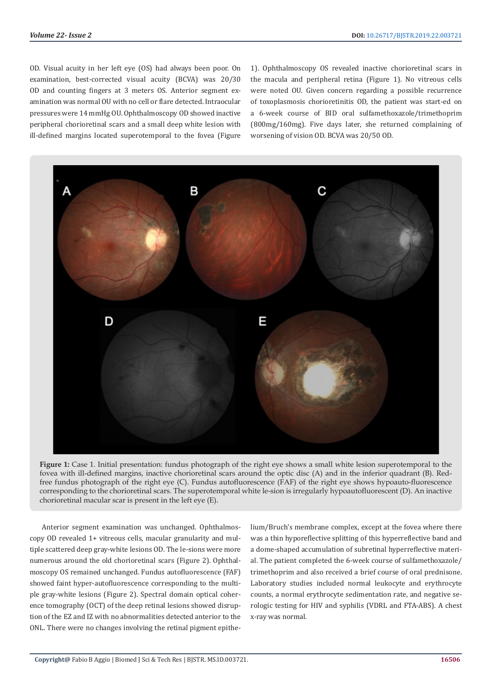OD. Visual acuity in her left eye (OS) had always been poor. On examination, best-corrected visual acuity (BCVA) was 20/30 OD and counting fingers at 3 meters OS. Anterior segment examination was normal OU with no cell or flare detected. Intraocular pressures were 14 mmHg OU. Ophthalmoscopy OD showed inactive peripheral chorioretinal scars and a small deep white lesion with ill-defined margins located superotemporal to the fovea (Figure 1). Ophthalmoscopy OS revealed inactive chorioretinal scars in the macula and peripheral retina (Figure 1). No vitreous cells were noted OU. Given concern regarding a possible recurrence of toxoplasmosis chorioretinitis OD, the patient was start-ed on a 6-week course of BID oral sulfamethoxazole/trimethoprim (800mg/160mg). Five days later, she returned complaining of worsening of vision OD. BCVA was 20/50 OD.



**Figure 1:** Case 1. Initial presentation: fundus photograph of the right eye shows a small white lesion superotemporal to the fovea with ill-defined margins, inactive chorioretinal scars around the optic disc (A) and in the inferior quadrant (B). Redfree fundus photograph of the right eye (C). Fundus autofluorescence (FAF) of the right eye shows hypoauto-fluorescence corresponding to the chorioretinal scars. The superotemporal white le-sion is irregularly hypoautofluorescent (D). An inactive chorioretinal macular scar is present in the left eye (E).

Anterior segment examination was unchanged. Ophthalmoscopy OD revealed 1+ vitreous cells, macular granularity and multiple scattered deep gray-white lesions OD. The le-sions were more numerous around the old chorioretinal scars (Figure 2). Ophthalmoscopy OS remained unchanged. Fundus autofluorescence (FAF) showed faint hyper-autofluorescence corresponding to the multiple gray-white lesions (Figure 2). Spectral domain optical coherence tomography (OCT) of the deep retinal lesions showed disruption of the EZ and IZ with no abnormalities detected anterior to the ONL. There were no changes involving the retinal pigment epithelium/Bruch's membrane complex, except at the fovea where there was a thin hyporeflective splitting of this hyperreflective band and a dome-shaped accumulation of subretinal hyperreflective material. The patient completed the 6-week course of sulfamethoxazole/ trimethoprim and also received a brief course of oral prednisone. Laboratory studies included normal leukocyte and erythrocyte counts, a normal erythrocyte sedimentation rate, and negative serologic testing for HIV and syphilis (VDRL and FTA-ABS). A chest x-ray was normal.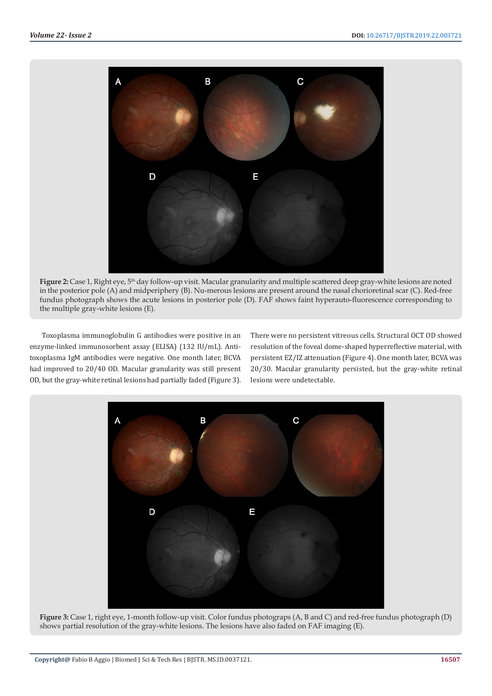

Figure 2: Case 1, Right eye, 5<sup>th</sup> day follow-up visit. Macular granularity and multiple scattered deep gray-white lesions are noted in the posterior pole (A) and midperiphery (B). Nu-merous lesions are present around the nasal chorioretinal scar (C). Red-free fundus photograph shows the acute lesions in posterior pole (D). FAF shows faint hyperauto-fluorescence corresponding to the multiple gray-white lesions (E).

Toxoplasma immunoglobulin G antibodies were positive in an enzyme-linked immunosorbent assay (ELISA) (132 IU/mL). Antitoxoplasma IgM antibodies were negative. One month later, BCVA had improved to 20/40 OD. Macular granularity was still present OD, but the gray-white retinal lesions had partially faded (Figure 3). There were no persistent vitreous cells. Structural OCT OD showed resolution of the foveal dome-shaped hyperreflective material, with persistent EZ/IZ attenuation (Figure 4). One month later, BCVA was 20/30. Macular granularity persisted, but the gray-white retinal lesions were undetectable.



**Figure 3:** Case 1, right eye, 1-month follow-up visit. Color fundus photograps (A, B and C) and red-free fundus photograph (D) shows partial resolution of the gray-white lesions. The lesions have also faded on FAF imaging (E).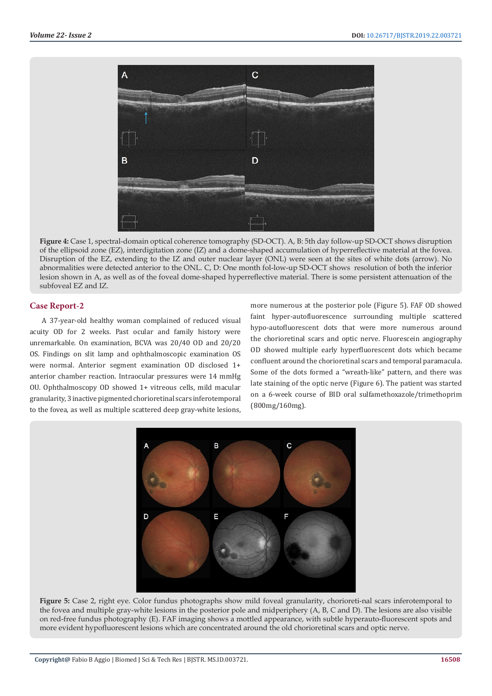

**Figure 4:** Case 1, spectral-domain optical coherence tomography (SD-OCT). A, B: 5th day follow-up SD-OCT shows disruption of the ellipsoid zone (EZ), interdigitation zone (IZ) and a dome-shaped accumulation of hyperreflective material at the fovea. Disruption of the EZ, extending to the IZ and outer nuclear layer (ONL) were seen at the sites of white dots (arrow). No abnormalities were detected anterior to the ONL. C, D: One month fol-low-up SD-OCT shows resolution of both the inferior lesion shown in A, as well as of the foveal dome-shaped hyperreflective material. There is some persistent attenuation of the subfoveal EZ and IZ.

# **Case Report-2**

A 37-year-old healthy woman complained of reduced visual acuity OD for 2 weeks. Past ocular and family history were unremarkable. On examination, BCVA was 20/40 OD and 20/20 OS. Findings on slit lamp and ophthalmoscopic examination OS were normal. Anterior segment examination OD disclosed 1+ anterior chamber reaction. Intraocular pressures were 14 mmHg OU. Ophthalmoscopy OD showed 1+ vitreous cells, mild macular granularity, 3 inactive pigmented chorioretinal scars inferotemporal to the fovea, as well as multiple scattered deep gray-white lesions,

more numerous at the posterior pole (Figure 5). FAF OD showed faint hyper-autofluorescence surrounding multiple scattered hypo-autofluorescent dots that were more numerous around the chorioretinal scars and optic nerve. Fluorescein angiography OD showed multiple early hyperfluorescent dots which became confluent around the chorioretinal scars and temporal paramacula. Some of the dots formed a "wreath-like" pattern, and there was late staining of the optic nerve (Figure 6). The patient was started on a 6-week course of BID oral sulfamethoxazole/trimethoprim (800mg/160mg).



**Figure 5:** Case 2, right eye. Color fundus photographs show mild foveal granularity, chorioreti-nal scars inferotemporal to the fovea and multiple gray-white lesions in the posterior pole and midperiphery (A, B, C and D). The lesions are also visible on red-free fundus photography (E). FAF imaging shows a mottled appearance, with subtle hyperauto-fluorescent spots and more evident hypofluorescent lesions which are concentrated around the old chorioretinal scars and optic nerve.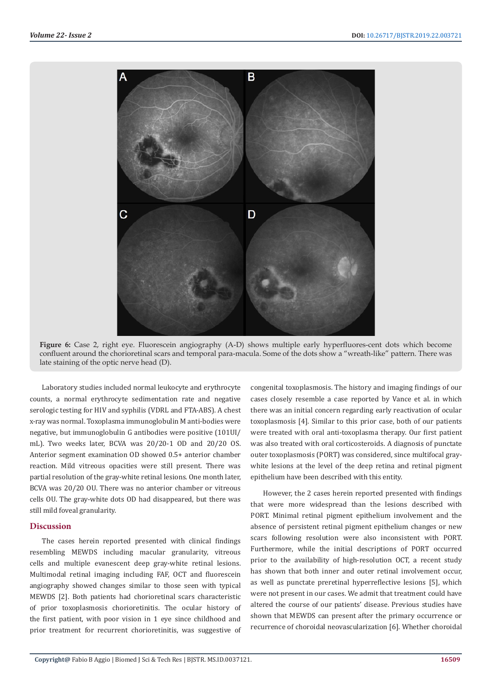

**Figure 6:** Case 2, right eye. Fluorescein angiography (A-D) shows multiple early hyperfluores-cent dots which become confluent around the chorioretinal scars and temporal para-macula. Some of the dots show a "wreath-like" pattern. There was late staining of the optic nerve head (D).

Laboratory studies included normal leukocyte and erythrocyte counts, a normal erythrocyte sedimentation rate and negative serologic testing for HIV and syphilis (VDRL and FTA-ABS). A chest x-ray was normal. Toxoplasma immunoglobulin M anti-bodies were negative, but immunoglobulin G antibodies were positive (101UI/ mL). Two weeks later, BCVA was 20/20-1 OD and 20/20 OS. Anterior segment examination OD showed 0.5+ anterior chamber reaction. Mild vitreous opacities were still present. There was partial resolution of the gray-white retinal lesions. One month later, BCVA was 20/20 OU. There was no anterior chamber or vitreous cells OU. The gray-white dots OD had disappeared, but there was still mild foveal granularity.

#### **Discussion**

The cases herein reported presented with clinical findings resembling MEWDS including macular granularity, vitreous cells and multiple evanescent deep gray-white retinal lesions. Multimodal retinal imaging including FAF, OCT and fluorescein angiography showed changes similar to those seen with typical MEWDS [2]. Both patients had chorioretinal scars characteristic of prior toxoplasmosis chorioretinitis. The ocular history of the first patient, with poor vision in 1 eye since childhood and prior treatment for recurrent chorioretinitis, was suggestive of congenital toxoplasmosis. The history and imaging findings of our cases closely resemble a case reported by Vance et al. in which there was an initial concern regarding early reactivation of ocular toxoplasmosis [4]. Similar to this prior case, both of our patients were treated with oral anti-toxoplasma therapy. Our first patient was also treated with oral corticosteroids. A diagnosis of punctate outer toxoplasmosis (PORT) was considered, since multifocal graywhite lesions at the level of the deep retina and retinal pigment epithelium have been described with this entity.

However, the 2 cases herein reported presented with findings that were more widespread than the lesions described with PORT. Minimal retinal pigment epithelium involvement and the absence of persistent retinal pigment epithelium changes or new scars following resolution were also inconsistent with PORT. Furthermore, while the initial descriptions of PORT occurred prior to the availability of high-resolution OCT, a recent study has shown that both inner and outer retinal involvement occur, as well as punctate preretinal hyperreflective lesions [5], which were not present in our cases. We admit that treatment could have altered the course of our patients' disease. Previous studies have shown that MEWDS can present after the primary occurrence or recurrence of choroidal neovascularization [6]. Whether choroidal